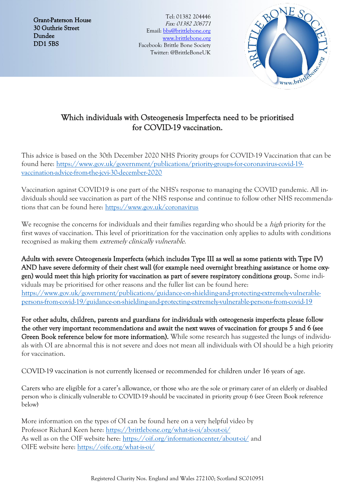Grant-Paterson House 30 Guthrie Street Dundee DD1 5BS

Tel: 01382 204446 Fax: 01382 206771 Email: [bbs@brittlebone.org](mailto:bbs@brittlebone.org) [www.brittlebone.org](http://www.brittlebone.org/) Facebook: Brittle Bone Society Twitter: @BrittleBoneUK



## Which individuals with Osteogenesis Imperfecta need to be prioritised for COVID-19 vaccination.

This advice is based on the 30th December 2020 NHS Priority groups for COVID-19 Vaccination that can be found here: [https://www.gov.uk/government/publications/priority-groups-for-coronavirus-covid-19](https://www.gov.uk/government/publications/priority-groups-for-coronavirus-covid-19-vaccination-advice-from-the-jcvi-30-december-2020) [vaccination-advice-from-the-jcvi-30-december-2020](https://www.gov.uk/government/publications/priority-groups-for-coronavirus-covid-19-vaccination-advice-from-the-jcvi-30-december-2020)

Vaccination against COVID19 is one part of the NHS's response to managing the COVID pandemic. All individuals should see vaccination as part of the NHS response and continue to follow other NHS recommendations that can be found here: <https://www.gov.uk/coronavirus>

We recognise the concerns for individuals and their families regarding who should be a *high* priority for the first waves of vaccination. This level of prioritization for the vaccination only applies to adults with conditions recognised as making them extremely clinically vulnerable.

Adults with severe Osteogenesis Imperfecta (which includes Type III as well as some patients with Type IV) AND have severe deformity of their chest wall (for example need overnight breathing assistance or home oxygen) would meet this high priority for vaccination as part of severe respiratory conditions group. Some individuals may be prioritised for other reasons and the fuller list can be found here: [https://www.gov.uk/government/publications/guidance-on-shielding-and-protecting-extremely-vulnerable](https://www.gov.uk/government/publications/guidance-on-shielding-and-protecting-extremely-vulnerable-persons-from-covid-19/guidance-on-shielding-and-protecting-extremely-vulnerable-persons-from-covid-19)[persons-from-covid-19/guidance-on-shielding-and-protecting-extremely-vulnerable-persons-from-covid-19](https://www.gov.uk/government/publications/guidance-on-shielding-and-protecting-extremely-vulnerable-persons-from-covid-19/guidance-on-shielding-and-protecting-extremely-vulnerable-persons-from-covid-19)

For other adults, children, parents and guardians for individuals with osteogenesis imperfecta please follow the other very important recommendations and await the next waves of vaccination for groups 5 and 6 (see Green Book reference below for more information). While some research has suggested the lungs of individuals with OI are abnormal this is not severe and does not mean all individuals with OI should be a high priority for vaccination.

COVID-19 vaccination is not currently licensed or recommended for children under 16 years of age.

Carers who are eligible for a carer's allowance, or those who are the sole or primary carer of an elderly or disabled person who is clinically vulnerable to COVID-19 should be vaccinated in priority group 6 (see Green Book reference below)

More information on the types of OI can be found here on a very helpful video by Professor Richard Keen here: <https://brittlebone.org/what-is-oi/about-oi/> As well as on the OIF website here: <https://oif.org/informationcenter/about-oi/> and OIFE website here: <https://oife.org/what-is-oi/>